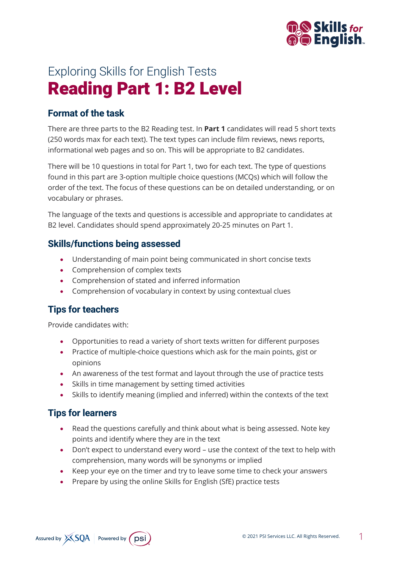

# Exploring Skills for English Tests Reading Part 1: B2 Level

## **Format of the task**

There are three parts to the B2 Reading test. In **Part 1** candidates will read 5 short texts (250 words max for each text). The text types can include film reviews, news reports, informational web pages and so on. This will be appropriate to B2 candidates.

There will be 10 questions in total for Part 1, two for each text. The type of questions found in this part are 3-option multiple choice questions (MCQs) which will follow the order of the text. The focus of these questions can be on detailed understanding, or on vocabulary or phrases.

The language of the texts and questions is accessible and appropriate to candidates at B2 level. Candidates should spend approximately 20-25 minutes on Part 1.

#### **Skills/functions being assessed**

- Understanding of main point being communicated in short concise texts
- Comprehension of complex texts
- Comprehension of stated and inferred information
- Comprehension of vocabulary in context by using contextual clues

### **Tips for teachers**

Provide candidates with:

- Opportunities to read a variety of short texts written for different purposes
- Practice of multiple-choice questions which ask for the main points, gist or opinions
- An awareness of the test format and layout through the use of practice tests
- Skills in time management by setting timed activities
- Skills to identify meaning (implied and inferred) within the contexts of the text

### **Tips for learners**

- Read the questions carefully and think about what is being assessed. Note key points and identify where they are in the text
- Don't expect to understand every word use the context of the text to help with comprehension, many words will be synonyms or implied
- Keep your eye on the timer and try to leave some time to check your answers
- Prepare by using the online Skills for English (SfE) practice tests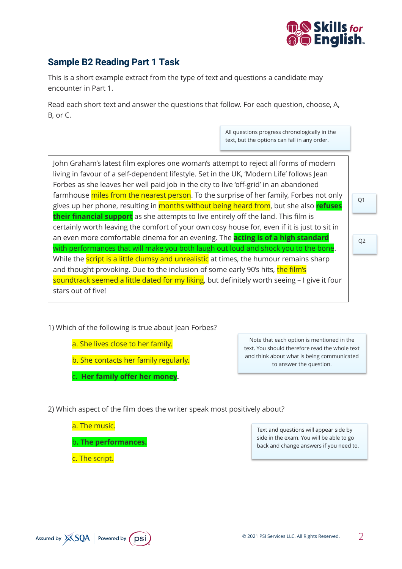

# **Sample B2 Reading Part 1 Task**

This is a short example extract from the type of text and questions a candidate may encounter in Part 1.

Read each short text and answer the questions that follow. For each question, choose, A, B, or C.

> All questions progress chronologically in the text, but the options can fall in any order.

John Graham's latest film explores one woman's attempt to reject all forms of modern living in favour of a self-dependent lifestyle. Set in the UK, 'Modern Life' follows Jean Forbes as she leaves her well paid job in the city to live 'off-grid' in an abandoned farmhouse miles from the nearest person. To the surprise of her family, Forbes not only gives up her phone, resulting in months without being heard from, but she also **refuses their financial support** as she attempts to live entirely off the land. This film is certainly worth leaving the comfort of your own cosy house for, even if it is just to sit in an even more comfortable cinema for an evening. The **acting is of a high standard** with performances that will make you both laugh out loud and shock you to the bone. While the **script is a little clumsy and unrealistic** at times, the humour remains sharp and thought provoking. Due to the inclusion of some early 90's hits, the film's soundtrack seemed a little dated for my liking, but definitely worth seeing - I give it four stars out of five! Q1 Q2

1) Which of the following is true about Jean Forbes?

a. She lives close to her family.

b. She contacts her family regularly.

c. **Her family offer her money.**

Note that each option is mentioned in the text. You should therefore read the whole text and think about what is being communicated to answer the question.

2) Which aspect of the film does the writer speak most positively about?

a. The music.

b**. The performances.**

c. The script.

Text and questions will appear side by side in the exam. You will be able to go back and change answers if you need to.